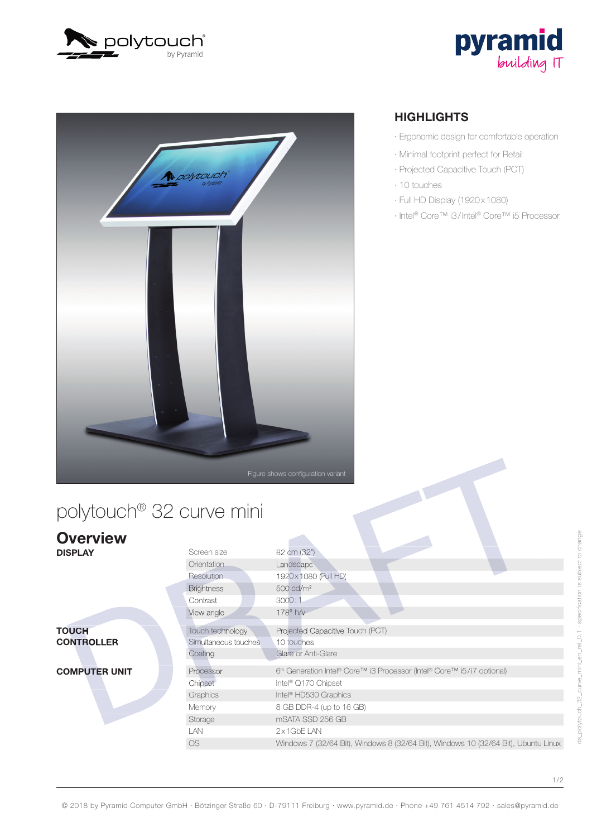





## polytouch® 32 curve mini

|                                   |                                                               | Figure shows configuration variant                                                                                                                                                                                                  |
|-----------------------------------|---------------------------------------------------------------|-------------------------------------------------------------------------------------------------------------------------------------------------------------------------------------------------------------------------------------|
| polytouch® 32 curve mini          |                                                               |                                                                                                                                                                                                                                     |
| <b>Overview</b><br><b>DISPLAY</b> | Screen size<br>Orientation<br>Resolution                      | 82 cm (32")<br>Landscape<br>1920x 1080 (Full HD)                                                                                                                                                                                    |
|                                   | <b>Brightness</b><br>Contrast<br>View angle                   | 500 cd/m <sup>2</sup><br>3000:1<br>178° h/v                                                                                                                                                                                         |
| <b>TOUCH</b><br><b>CONTROLLER</b> | Touch technology<br>Simultaneous touches<br>Coating           | Projected Capacitive Touch (PCT)<br>10 touches<br>Glare or Anti-Glare                                                                                                                                                               |
| <b>COMPUTER UNIT</b>              | Processor<br>Chipset<br>Graphics<br>Memory<br>Storage<br>I AN | 6 <sup>th</sup> Generation Intel® Core™ i3 Processor (Intel® Core™ i5/i7 optional)<br>Intel <sup>®</sup> Q170 Chipset<br>Intel <sup>®</sup> HD530 Graphics<br>8 GB DDR-4 (up to 16 GB)<br>mSATA SSD 256 GB<br>$2 \times 1$ GbF I AN |
|                                   | <b>OS</b>                                                     | Windows 7 (32/64 Bit), Windows 8 (32/64 Bit), Windows 10 (32/64 Bit), Ubuntu Linux                                                                                                                                                  |

#### **HIGHLIGHTS**

- · Ergonomic design for comfortable operation
- · Minimal footprint perfect for Retail
- · Projected Capacitive Touch (PCT)
- · 10 touches
- · Full HD Display (1920 x 1080)
- · Intel® Core™ i3 / Intel® Core™ i5 Processor